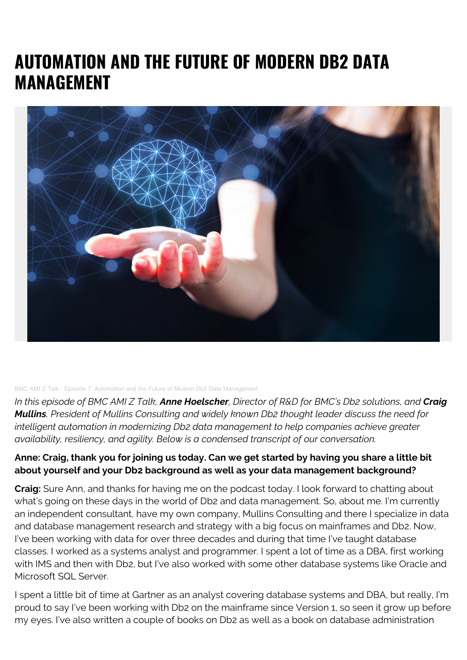# **AUTOMATION AND THE FUTURE OF MODERN DB2 DATA MANAGEMENT**



#### [BMC AMI Z Talk](https://soundcloud.com/bmc-ami-z-talk) · [Episode 7: Automation and the Future of Modern Db2 Data Management](https://soundcloud.com/bmc-ami-z-talk/episode-7-automation-and-the-future-of-modern-db2-data-management)

*In this episode of BMC AMI Z Talk, Anne Hoelscher, Director of R&D for BMC's Db2 solutions, and Craig Mullins, President of Mullins Consulting and widely known Db2 thought leader discuss the need for intelligent automation in modernizing Db2 data management to help companies achieve greater availability, resiliency, and agility. Below is a condensed transcript of our conversation.*

#### **Anne: Craig, thank you for joining us today. Can we get started by having you share a little bit about yourself and your Db2 background as well as your data management background?**

**Craig:** Sure Ann, and thanks for having me on the podcast today. I look forward to chatting about what's going on these days in the world of Db2 and data management. So, about me. I'm currently an independent consultant, have my own company, Mullins Consulting and there I specialize in data and database management research and strategy with a big focus on mainframes and Db2. Now, I've been working with data for over three decades and during that time I've taught database classes. I worked as a systems analyst and programmer. I spent a lot of time as a DBA, first working with IMS and then with Db2, but I've also worked with some other database systems like Oracle and Microsoft SQL Server.

I spent a little bit of time at Gartner as an analyst covering database systems and DBA, but really, I'm proud to say I've been working with Db2 on the mainframe since Version 1, so seen it grow up before my eyes. I've also written a couple of books on Db2 as well as a book on database administration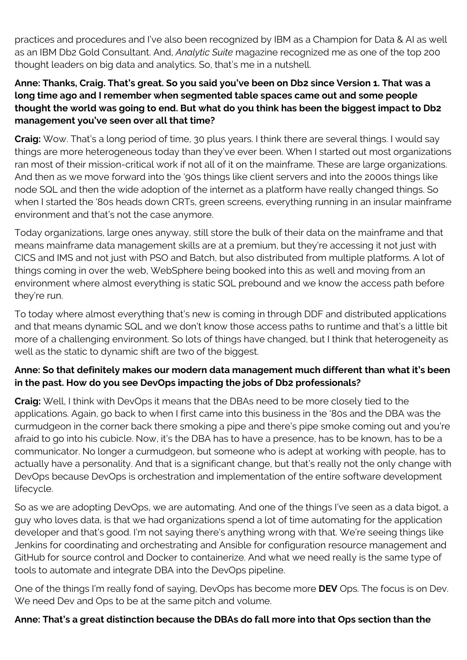practices and procedures and I've also been recognized by IBM as a Champion for Data & AI as well as an IBM Db2 Gold Consultant. And, *Analytic Suite* magazine recognized me as one of the top 200 thought leaders on big data and analytics. So, that's me in a nutshell.

#### **Anne: Thanks, Craig. That's great. So you said you've been on Db2 since Version 1. That was a long time ago and I remember when segmented table spaces came out and some people thought the world was going to end. But what do you think has been the biggest impact to Db2 management you've seen over all that time?**

**Craig:** Wow. That's a long period of time, 30 plus years. I think there are several things. I would say things are more heterogeneous today than they've ever been. When I started out most organizations ran most of their mission-critical work if not all of it on the mainframe. These are large organizations. And then as we move forward into the '90s things like client servers and into the 2000s things like node SQL and then the wide adoption of the internet as a platform have really changed things. So when I started the '80s heads down CRTs, green screens, everything running in an insular mainframe environment and that's not the case anymore.

Today organizations, large ones anyway, still store the bulk of their data on the mainframe and that means mainframe data management skills are at a premium, but they're accessing it not just with CICS and IMS and not just with PSO and Batch, but also distributed from multiple platforms. A lot of things coming in over the web, WebSphere being booked into this as well and moving from an environment where almost everything is static SQL prebound and we know the access path before they're run.

To today where almost everything that's new is coming in through DDF and distributed applications and that means dynamic SQL and we don't know those access paths to runtime and that's a little bit more of a challenging environment. So lots of things have changed, but I think that heterogeneity as well as the static to dynamic shift are two of the biggest.

## **Anne: So that definitely makes our modern data management much different than what it's been in the past. How do you see DevOps impacting the jobs of Db2 professionals?**

**Craig:** Well, I think with DevOps it means that the DBAs need to be more closely tied to the applications. Again, go back to when I first came into this business in the '80s and the DBA was the curmudgeon in the corner back there smoking a pipe and there's pipe smoke coming out and you're afraid to go into his cubicle. Now, it's the DBA has to have a presence, has to be known, has to be a communicator. No longer a curmudgeon, but someone who is adept at working with people, has to actually have a personality. And that is a significant change, but that's really not the only change with DevOps because DevOps is orchestration and implementation of the entire software development lifecycle.

So as we are adopting DevOps, we are automating. And one of the things I've seen as a data bigot, a guy who loves data, is that we had organizations spend a lot of time automating for the application developer and that's good. I'm not saying there's anything wrong with that. We're seeing things like Jenkins for coordinating and orchestrating and Ansible for configuration resource management and GitHub for source control and Docker to containerize. And what we need really is the same type of tools to automate and integrate DBA into the DevOps pipeline.

One of the things I'm really fond of saying, DevOps has become more **DEV** Ops. The focus is on Dev. We need Dev and Ops to be at the same pitch and volume.

### **Anne: That's a great distinction because the DBAs do fall more into that Ops section than the**